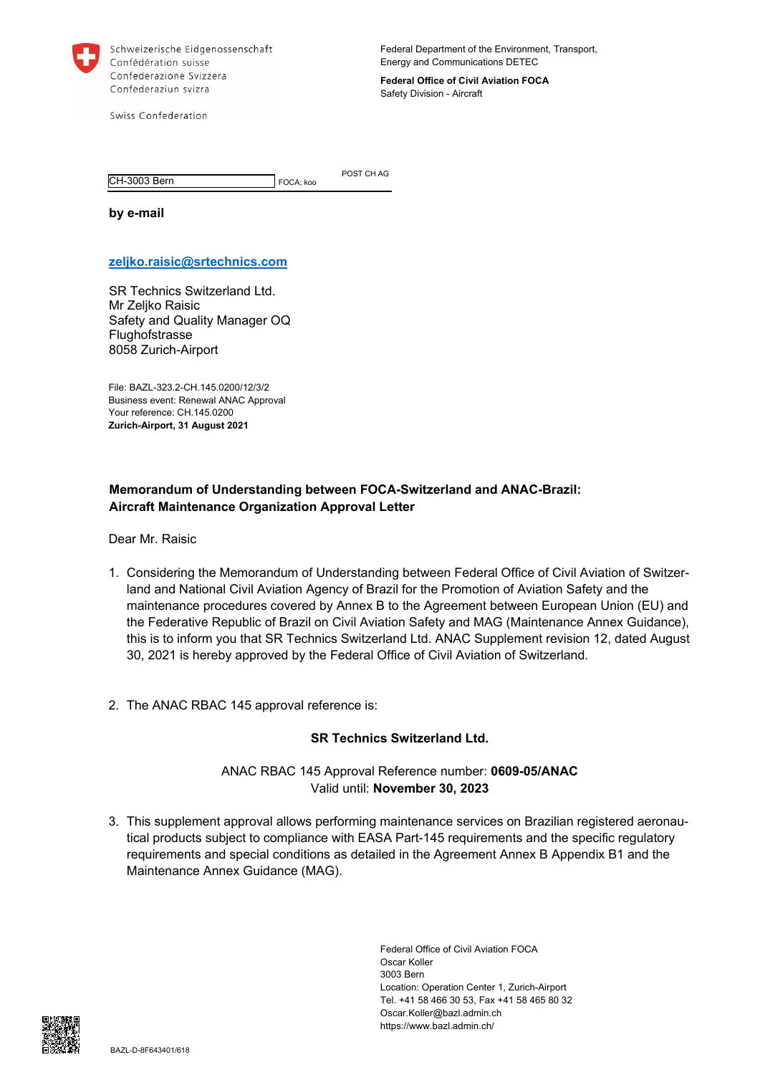

Schweizerische Eidgenossenschaft Confédération suisse Confederazione Svizzera Confederaziun svizra

Federal Department of the Environment, Transport, Energy and Communications DETEC

**Federal Office of Civil Aviation FOCA**  Safety Division - Aircraft

Swiss Confederation

CH-3003 Bern FOCA; koo

POST CH AG

**by e-mail** 

## **zeljko.raisic@srtechnics.com**

SR Technics Switzerland Ltd. Mr Zeljko Raisic Safety and Quality Manager OQ Flughofstrasse 8058 Zurich-Airport

File: BAZL-323.2-CH.145.0200/12/3/2 Business event: Renewal ANAC Approval Your reference: CH.145.0200 **Zurich-Airport, 31 August 2021** 

## **Memorandum of Understanding between FOCA-Switzerland and ANAC-Brazil: Aircraft Maintenance Organization Approval Letter**

Dear Mr. Raisic

- 1. Considering the Memorandum of Understanding between Federal Office of Civil Aviation of Switzerland and National Civil Aviation Agency of Brazil for the Promotion of Aviation Safety and the maintenance procedures covered by Annex B to the Agreement between European Union (EU) and the Federative Republic of Brazil on Civil Aviation Safety and MAG (Maintenance Annex Guidance), this is to inform you that SR Technics Switzerland Ltd. ANAC Supplement revision 12, dated August 30, 2021 is hereby approved by the Federal Office of Civil Aviation of Switzerland.
- 2. The ANAC RBAC 145 approval reference is:

## **SR Technics Switzerland Ltd.**

ANAC RBAC 145 Approval Reference number: **0609-05/ANAC**  Valid until: **November 30, 2023** 

3. This supplement approval allows performing maintenance services on Brazilian registered aeronautical products subject to compliance with EASA Part-145 requirements and the specific regulatory requirements and special conditions as detailed in the Agreement Annex B Appendix B1 and the Maintenance Annex Guidance (MAG).